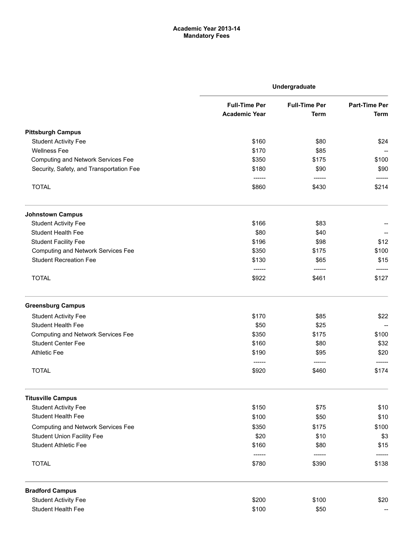## Academic Year 2013-14 Mandatory Fees

|                                           | Undergraduate                                |                                     |                                     |
|-------------------------------------------|----------------------------------------------|-------------------------------------|-------------------------------------|
|                                           | <b>Full-Time Per</b><br><b>Academic Year</b> | <b>Full-Time Per</b><br><b>Term</b> | <b>Part-Time Per</b><br><b>Term</b> |
| <b>Pittsburgh Campus</b>                  |                                              |                                     |                                     |
| <b>Student Activity Fee</b>               | \$160                                        | \$80                                | \$24                                |
| <b>Wellness Fee</b>                       | \$170                                        | \$85                                |                                     |
| <b>Computing and Network Services Fee</b> | \$350                                        | \$175                               | \$100                               |
| Security, Safety, and Transportation Fee  | \$180                                        | \$90                                | \$90                                |
| <b>TOTAL</b>                              | \$860                                        | \$430                               | \$214                               |
| <b>Johnstown Campus</b>                   |                                              |                                     |                                     |
| <b>Student Activity Fee</b>               | \$166                                        | \$83                                |                                     |
| <b>Student Health Fee</b>                 | \$80                                         | \$40                                |                                     |
| <b>Student Facility Fee</b>               | \$196                                        | \$98                                | \$12                                |
| <b>Computing and Network Services Fee</b> | \$350                                        | \$175                               | \$100                               |
| <b>Student Recreation Fee</b>             | \$130                                        | \$65                                | \$15                                |
| <b>TOTAL</b>                              | ------<br>\$922                              | ------<br>\$461                     | ------<br>\$127                     |
| <b>Greensburg Campus</b>                  |                                              |                                     |                                     |
| <b>Student Activity Fee</b>               | \$170                                        | \$85                                | \$22                                |
| <b>Student Health Fee</b>                 | \$50                                         | \$25                                |                                     |
| <b>Computing and Network Services Fee</b> | \$350                                        | \$175                               | \$100                               |
| <b>Student Center Fee</b>                 | \$160                                        | \$80                                | \$32                                |
| <b>Athletic Fee</b>                       | \$190                                        | \$95                                | \$20                                |
|                                           | ------                                       | ------                              |                                     |
| <b>TOTAL</b>                              | \$920                                        | \$460                               | \$174                               |
| <b>Titusville Campus</b>                  |                                              |                                     |                                     |
| <b>Student Activity Fee</b>               | \$150                                        | \$75                                | \$10                                |
| Student Health Fee                        | \$100                                        | \$50                                | \$10                                |
| <b>Computing and Network Services Fee</b> | \$350                                        | \$175                               | \$100                               |
| <b>Student Union Facility Fee</b>         | \$20                                         | \$10                                | \$3                                 |
| <b>Student Athletic Fee</b>               | \$160                                        | \$80                                | \$15                                |
| <b>TOTAL</b>                              | \$780                                        | \$390                               | \$138                               |
| <b>Bradford Campus</b>                    |                                              |                                     |                                     |
| <b>Student Activity Fee</b>               | \$200                                        | \$100                               | \$20                                |
| <b>Student Health Fee</b>                 | \$100                                        | \$50                                |                                     |